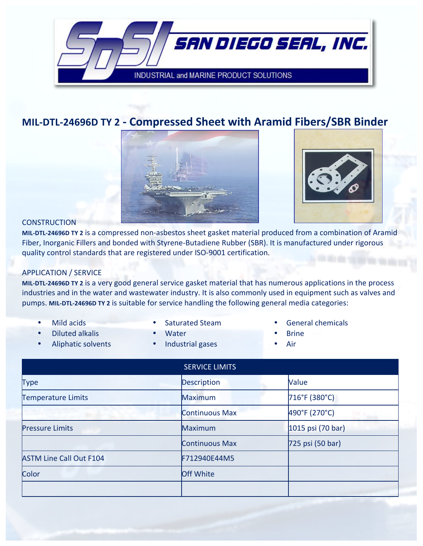

## **MIL-DTL-24696D TY 2 - Compressed Sheet with Aramid Fibers/SBR Binder**



## **CONSTRUCTION**

MIL-DTL-24696D TY 2 is a compressed non-asbestos sheet gasket material produced from a combination of Aramid Fiber, Inorganic Fillers and bonded with Styrene-Butadiene Rubber (SBR). It is manufactured under rigorous quality control standards that are registered under ISO-9001 certification.

## APPLICATION / SERVICE

MIL-DTL-24696D TY 2 is a very good general service gasket material that has numerous applications in the process industries and in the water and wastewater industry. It is also commonly used in equipment such as valves and pumps. MIL-DTL-24696D TY 2 is suitable for service handling the following general media categories:

- 
- Diluted!alkalis Water Brine
- 
- 
- Aliphatic solvents Industrial gases Air
- **Mild acids Saturated Steam General chemicals** 
	-
	-

|                                | <b>SERVICE LIMITS</b> |                   |
|--------------------------------|-----------------------|-------------------|
| <b>Type</b>                    | Description           | Value             |
| <b>Temperature Limits</b>      | <b>Maximum</b>        | 716°F (380°C)     |
|                                | <b>Continuous Max</b> | 490°F (270°C)     |
| <b>Pressure Limits</b>         | Maximum               | 1015 psi (70 bar) |
|                                | <b>Continuous Max</b> | 725 psi (50 bar)  |
| <b>ASTM Line Call Out F104</b> | F712940E44M5          |                   |
| Color                          | <b>Off White</b>      |                   |
|                                |                       |                   |